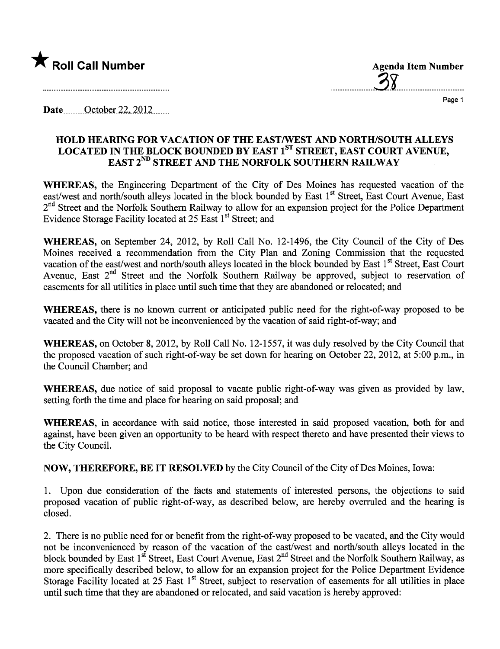

...................31.............................

Page 1

Date  $\qquad$  October 22, 2012

## HOLD HEARING FOR VACATION OF THE EAST/WEST AND NORTH/SOUTH ALLEYS LOCATED IN THE BLOCK BOUNDED BY EAST 1<sup>ST</sup> STREET, EAST COURT AVENUE, EAST 2<sup>ND</sup> STREET AND THE NORFOLK SOUTHERN RAILWAY

WHEREAS, the Engineering Department of the City of Des Moines has requested vacation of the east/west and north/south alleys located in the block bounded by East 1<sup>st</sup> Street, East Court Avenue, East 2<sup>nd</sup> Street and the Norfolk Southern Railway to allow for an expansion project for the Police Department Evidence Storage Facility located at 25 East 1<sup>st</sup> Street; and

WHEREAS, on September 24, 2012, by Roll Call No. 12-1496, the City Council of the City of Des Moines received a recommendation from the City Plan and Zoning Commission that the requested vacation of the east/west and north/south alleys located in the block bounded by East 1<sup>st</sup> Street, East Court Avenue, East 2<sup>nd</sup> Street and the Norfolk Southern Railway be approved, subject to reservation of easements for all utilties in place until such time that they are abandoned or relocated; and

WHEREAS, there is no known current or anticipated public need for the right-of-way proposed to be vacated and the City will not be inconvenienced by the vacation of said right-of-way; and

WHEREAS, on October 8, 2012, by Roll Call No. 12-1557, it was duly resolved by the City Council that the proposed vacation of such right-of-way be set down for hearing on October 22,2012, at 5:00 p.m., in the Council Chamber; and

WHEREAS, due notice of said proposal to vacate public right-of-way was given as provided by law, setting forth the time and place for hearing on said proposal; and

WHEREAS, in accordance with said notice, those interested in said proposed vacation, both for and against, have been given an opportunity to be heard with respect thereto and have presented their views to the City CounciL.

NOW, THEREFORE, BE IT RESOLVED by the City Council of the City of Des Moines, Iowa:

1. Upon due consideration of the facts and statements of interested persons, the objections to said proposed vacation of public right-of-way, as described below, are hereby overruled and the hearing is closed.

2. There is no public need for or benefit from the right-of-way proposed to be vacated, and the City would not be inconvenienced by reason of the vacation of the east/west and north/south alleys located in the block bounded by East 1<sup>st</sup> Street, East Court Avenue, East 2<sup>nd</sup> Street and the Norfolk Southern Railway, as more specifically described below, to allow for an expansion project for the Police Deparment Evidence Storage Facility located at 25 East 1<sup>st</sup> Street, subject to reservation of easements for all utilities in place until such time that they are abandoned or relocated, and said vacation is hereby approved: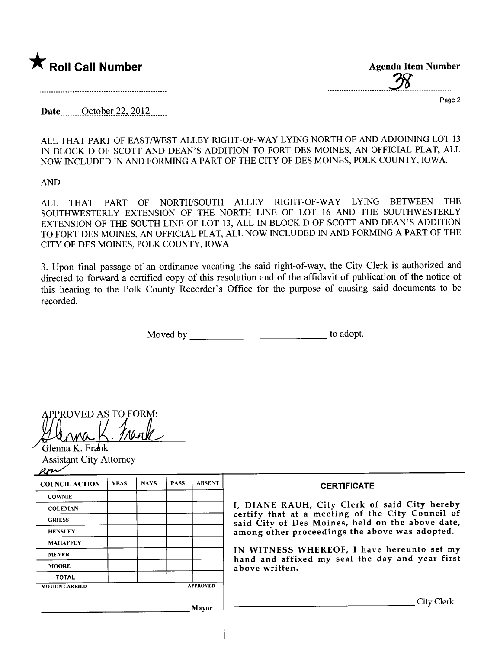

| <b>Agenda Item Number</b> |
|---------------------------|
|                           |
|                           |

Page 2

Date <u>October 22, 2012</u>.......

ALL THAT PART OF EAST/WEST ALLEY RIGHT-OF-WAY LYING NORTH OF AND ADJOINING LOT 13 IN BLOCK D OF SCOTT AND DEAN'S ADDITION TO FORT DES MOINES, AN OFFICIAL PLAT, ALL NOW INCLUDED IN AND FORMING A PART OF THE CITY OF DES MOINES, POLK COUNTY, IOWA.

AND

ALL THAT PART OF NORTH/SOUTH ALLEY RIGHT-OF-WAY LYING BETWEEN THE SOUTHWESTERLY EXTENSION OF THE NORTH LINE OF LOT 16 AND THE SOUTHWESTERLY EXTENSION OF THE SOUTH LINE OF LOT 13, ALL IN BLOCK D OF SCOTT AND DEAN'S ADDITION TO FORT DES MOINES, AN OFFICIAL PLAT, ALL NOW INCLUDED IN AND FORMING A PART OF THE CITY OF DES MOINES, POLK COUNTY, IOWA

3. Upon final passage of an ordinance vacating the said right-of-way, the City Clerk is authorized and directed to forward a certified copy of this resolution and of the affidavit of publication of the notice of this hearing to the Polk County Recorder's Office for the purpose of causing said documents to be recorded.

Moved by to adopt.

PPROVED AS TO FORM:

Glenna K. Frank Assistant City Attorney

| <b>COUNCIL ACTION</b> | <b>YEAS</b> | <b>NAYS</b> | <b>PASS</b>     | <b>ABSENT</b> |  |
|-----------------------|-------------|-------------|-----------------|---------------|--|
| <b>COWNIE</b>         |             |             |                 |               |  |
| <b>COLEMAN</b>        |             |             |                 |               |  |
| <b>GRIESS</b>         |             |             |                 |               |  |
| <b>HENSLEY</b>        |             |             |                 |               |  |
| <b>MAHAFFEY</b>       |             |             |                 |               |  |
| <b>MEYER</b>          |             |             |                 |               |  |
| <b>MOORE</b>          |             |             |                 |               |  |
| <b>TOTAL</b>          |             |             |                 |               |  |
| <b>MOTION CARRIED</b> |             |             | <b>APPROVED</b> |               |  |

## **CERTIFICATE**

I, DIANE RAUH, City Clerk of said City hereby certify that at a meeting of the City Council of said City of Des Moines, held on the above date, among other proceedings the above was adopted.

IN WITNESS WHEREOF, I have hereunto set my hand and affixed my seal the day and year first above written.

City Clerk

Mayor